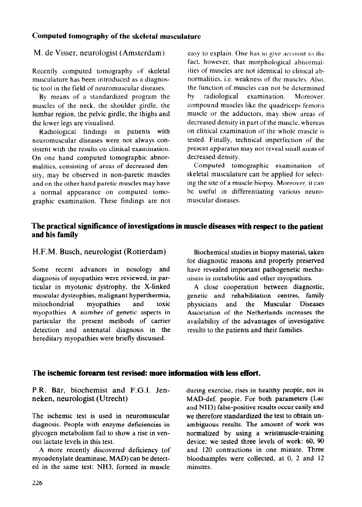### **Computed tomography of the skeletal musculature**

# M. de Visser, neurologist (Amsterdam)

Recently computed tomography of skeletal musculature has been introduced as a diagnostic tool in the field of neuromuscular diseases.

By means of a standardized program the muscles of the neck, the shoulder girdle, the lumbar region, the pelvic girdle, the thighs and the lower legs are visualised.

Radiological findings in patients with neuromuscular diseases were not always consistent with the results on clinical examination. On one hand computed tomographic abnormalities, consisting of areas of decreased density, may be observed in non-paretic muscles and on the other hand paretic muscles may have a normal appearance on computed tomographic examination. These findings are not easy to explain. One has to give account to the fact, however, that morphological abnormalities of muscles are not identical to clinical abnormalities, i.e. weakness of the muscles. Also, the function of muscles can not be determined bY radiological examination. Moreover, compound muscles like the quadriceps femoris muscle or the adductors, may show areas of decreased density in part of the muscle, whereas on clinical examination of the whole muscle is tested. Finally, technical imperfection of the present apparatus may not reveal small areas ot decreased density.

Computed tomographic examination of skeletal musculature can be applied for selecting the site of a muscle biopsy. Moreover, it can be useful in differentiating various neuromuscular diseases.

# **The practical significance of investigations in muscle diseases with respect to the patient and his family**

# H.F.M. Busch, neurologist (Rotterdam)

Some recent advances in nosology and diagnosis of myopathies were reviewed, in particular in myotonic dystrophy, the X-linked muscular dystrophies, malignant hyperthermia, mitochondrial myopathies and toxic myopathies. A number of genetic aspects in particular the present methods of carrier detection and antenatal diagnosis in the hereditary myopathies were briefly discussed.

Biochemical studies in biopsy material, taken for diagnostic reasons and properly preserved have revealed important pathogenetic mechanisms in metabolitic and other myopathies.

A close cooperation between diagnostic, genetic and rehabilitation centres, family physicians and the Muscular Diseases Association of the Netherlands increases the availability of the advantages of investigative results to the patients and their families.

### The ischemic forearm test revised: more information with less effort.

P.R. Bär, biochemist and F.G.I. Jenneken, neurologist (Utrecht)

The ischemic test is used in neuromuscular diagnosis. People with enzyme deficiencies in glycogen metabolism fail to show a rise in venous lactate levels in this test.

A more recently discovered deficiency (of myoadenylate deaminase, MAD) can be detected in the same test: NH3, formed in muscle

during exercise, rises in healthy people, not in MAD-def. people. For both parameters (Lac and NH3) false-positive results occur easily and we therefore standardized the test to obtain unambiguous results. The amount of work was normalized by using a wristmuscle-training device; we tested three levels of work: 60, 90 and 120 contractions in one minute. Three bloodsamples were collected, at 0, 2 and 12 minutes.